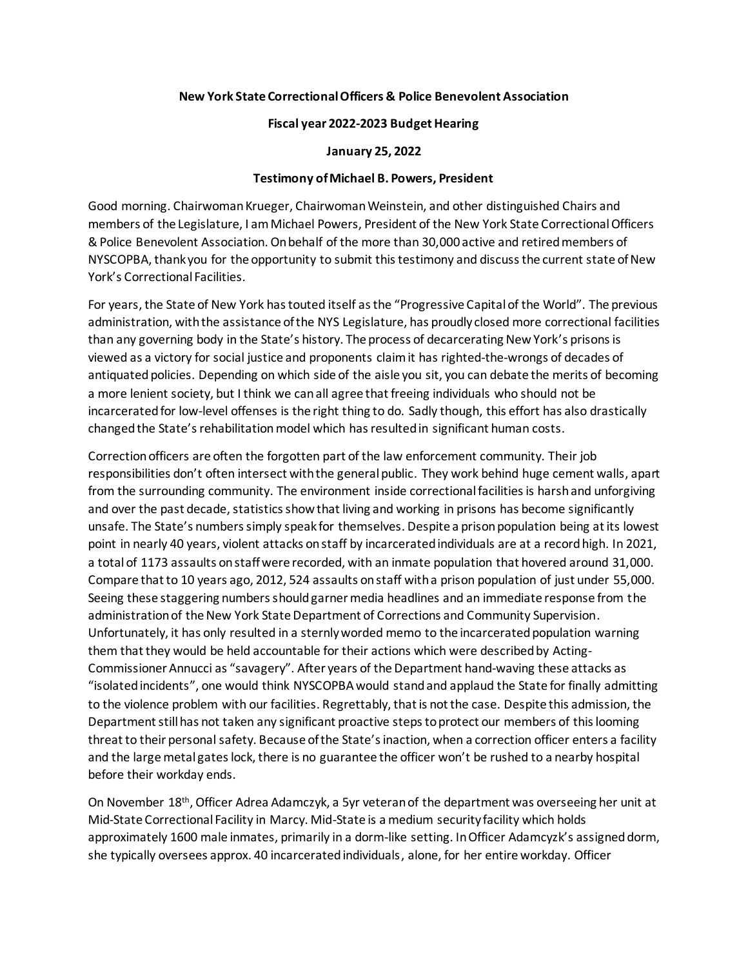## **New York State Correctional Officers & Police Benevolent Association**

## **Fiscal year 2022-2023 Budget Hearing**

**January 25, 2022**

## **Testimony of Michael B. Powers, President**

Good morning. Chairwoman Krueger, Chairwoman Weinstein, and other distinguished Chairs and members of the Legislature, I am Michael Powers, President of the New York State Correctional Officers & Police Benevolent Association. On behalf of the more than 30,000 active and retired members of NYSCOPBA, thank you for the opportunity to submit this testimony and discuss the current state of New York's Correctional Facilities.

For years, the State of New York has touted itself as the "Progressive Capital of the World". The previous administration, with the assistance of the NYS Legislature, has proudly closed more correctional facilities than any governing body in the State's history. The process of decarcerating New York's prisonsis viewed as a victory for social justice and proponents claim it has righted-the-wrongs of decades of antiquated policies. Depending on which side of the aisle you sit, you can debate the merits of becoming a more lenient society, but I think we can all agree that freeing individuals who should not be incarcerated for low-level offenses is the right thing to do. Sadly though, this effort has also drastically changed the State's rehabilitation model which has resulted in significant human costs.

Correction officers are often the forgotten part of the law enforcement community. Their job responsibilities don't often intersect with the general public. They work behind huge cement walls, apart from the surrounding community. The environment inside correctional facilities is harsh and unforgiving and over the past decade, statistics show that living and working in prisons has become significantly unsafe. The State's numbers simply speak for themselves. Despite a prison population being at its lowest point in nearly 40 years, violent attacks on staff by incarcerated individuals are at a record high. In 2021, a total of 1173 assaults on staff were recorded, with an inmate population that hovered around 31,000. Compare that to 10 years ago, 2012, 524 assaults on staff with a prison population of just under 55,000. Seeing these staggering numbers should garner media headlines and an immediate response from the administration of the New York State Department of Corrections and Community Supervision. Unfortunately, it has only resulted in a sternly worded memo to the incarcerated population warning them that they would be held accountable for their actions which were described by Acting-Commissioner Annucci as "savagery". After years of the Department hand-waving these attacks as "isolated incidents", one would think NYSCOPBA would stand and applaud the State for finally admitting to the violence problem with our facilities. Regrettably, that is not the case. Despite this admission, the Department still has not taken any significant proactive steps to protect our members of this looming threat to their personal safety. Because of the State's inaction, when a correction officer enters a facility and the large metal gates lock, there is no guarantee the officer won't be rushed to a nearby hospital before their workday ends.

On November 18th, Officer Adrea Adamczyk, a 5yr veteran of the department was overseeing her unit at Mid-State Correctional Facility in Marcy. Mid-State is a medium security facility which holds approximately 1600 male inmates, primarily in a dorm-like setting. In Officer Adamcyzk's assigneddorm, she typically oversees approx. 40 incarcerated individuals, alone, for her entire workday. Officer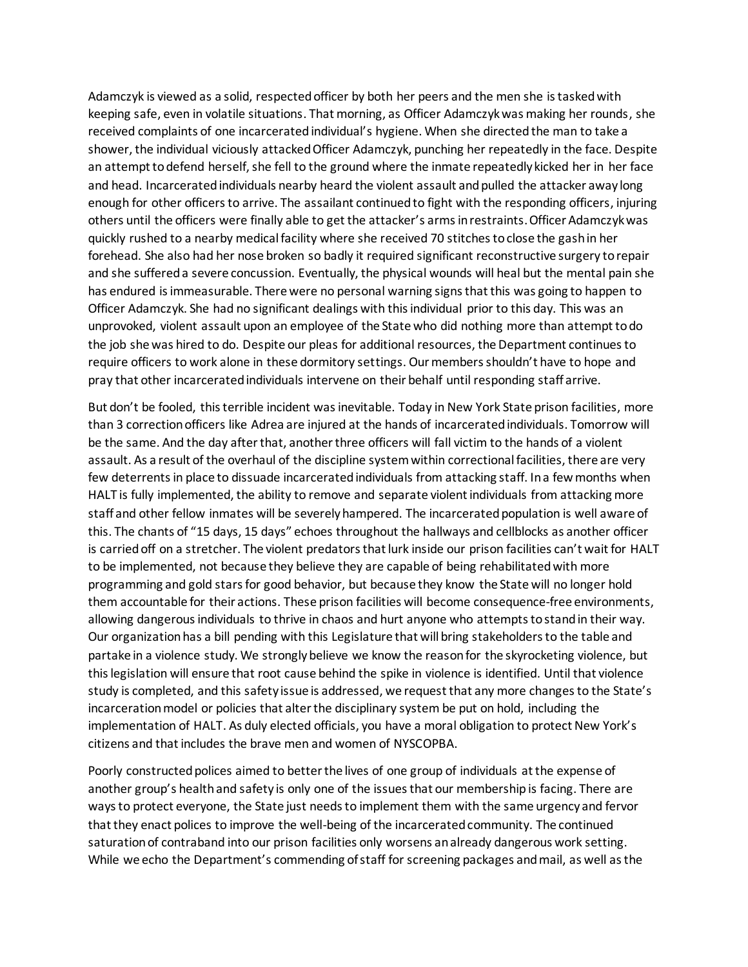Adamczyk is viewed as a solid, respected officer by both her peers and the men she is tasked with keeping safe, even in volatile situations. That morning, as Officer Adamczyk was making her rounds, she received complaints of one incarcerated individual's hygiene. When she directed the man to take a shower, the individual viciously attacked Officer Adamczyk, punching her repeatedly in the face. Despite an attempt to defend herself, she fell to the ground where the inmate repeatedly kicked her in her face and head. Incarcerated individuals nearby heard the violent assault and pulled the attacker away long enough for other officers to arrive. The assailant continued to fight with the responding officers, injuring others until the officers were finally able to get the attacker's arms in restraints.Officer Adamczyk was quickly rushed to a nearby medical facility where she received 70 stitches to close the gash in her forehead. She also had her nose broken so badly it required significant reconstructive surgery to repair and she suffereda severe concussion. Eventually, the physical wounds will heal but the mental pain she has endured is immeasurable. There were no personal warning signs that this was going to happen to Officer Adamczyk. She had no significant dealings with this individual prior to this day. This was an unprovoked, violent assault upon an employee of the State who did nothing more than attempt to do the job she was hired to do. Despite our pleas for additional resources, the Department continues to require officers to work alone in these dormitory settings. Our members shouldn't have to hope and pray that other incarcerated individuals intervene on their behalf until responding staff arrive.

But don't be fooled, this terrible incident was inevitable. Today in New York State prison facilities, more than 3 correction officers like Adrea are injured at the hands of incarcerated individuals. Tomorrow will be the same. And the day after that, another three officers will fall victim to the hands of a violent assault. As a result of the overhaul of the discipline system within correctional facilities, there are very few deterrents in place to dissuade incarcerated individuals from attacking staff. In a few months when HALT is fully implemented, the ability to remove and separate violent individuals from attacking more staff and other fellow inmates will be severely hampered. The incarcerated population is well aware of this. The chants of "15 days, 15 days" echoes throughout the hallways and cellblocks as another officer is carried off on a stretcher. The violent predators that lurk inside our prison facilities can't wait for HALT to be implemented, not because they believe they are capable of being rehabilitated with more programming and gold stars for good behavior, but because they know the State will no longer hold them accountable for their actions. These prison facilities will become consequence-free environments, allowing dangerousindividuals to thrive in chaos and hurt anyone who attempts to stand in their way. Our organization has a bill pending with this Legislature that will bring stakeholders to the table and partake in a violence study. We strongly believe we know the reason for the skyrocketing violence, but this legislation will ensure that root cause behind the spike in violence is identified. Until that violence study is completed, and this safety issue is addressed, we request that any more changes to the State's incarceration model or policies that alter the disciplinary system be put on hold, including the implementation of HALT. As duly elected officials, you have a moral obligation to protect New York's citizens and that includes the brave men and women of NYSCOPBA.

Poorly constructed polices aimed to better the lives of one group of individuals at the expense of another group's health and safety is only one of the issues that our membership is facing. There are ways to protect everyone, the State just needs to implement them with the same urgency and fervor that they enact polices to improve the well-being of the incarcerated community. The continued saturation of contraband into our prison facilities only worsens an already dangerous work setting. While we echo the Department's commending of staff for screening packages and mail, as well as the